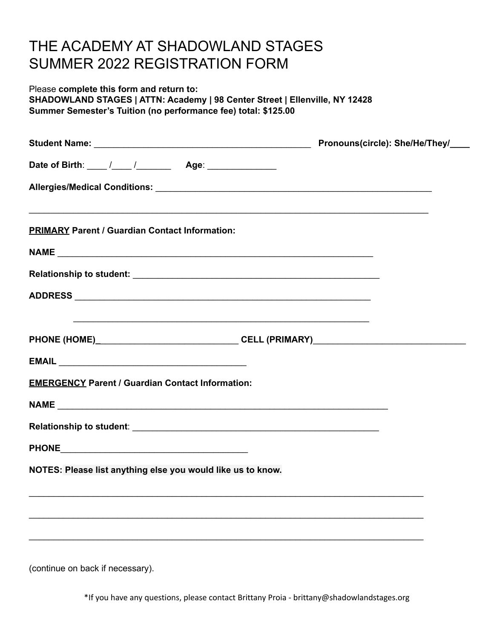## THE ACADEMY AT SHADOWLAND STAGES SUMMER 2022 REGISTRATION FORM

#### Please **complete this form and return to: SHADOWLAND STAGES | ATTN: Academy | 98 Center Street | Ellenville, NY 12428 Summer Semester's Tuition (no performance fee) total: \$125.00**

| <b>PRIMARY Parent / Guardian Contact Information:</b>       |                                                                                   |  |  |  |
|-------------------------------------------------------------|-----------------------------------------------------------------------------------|--|--|--|
|                                                             |                                                                                   |  |  |  |
|                                                             |                                                                                   |  |  |  |
|                                                             |                                                                                   |  |  |  |
|                                                             | ,我们也不能在这里的时候,我们也不能在这里的时候,我们也不能会在这里的时候,我们也不能会在这里的时候,我们也不能会在这里的时候,我们也不能会在这里的时候,我们也不 |  |  |  |
|                                                             |                                                                                   |  |  |  |
| <b>EMERGENCY Parent / Guardian Contact Information:</b>     |                                                                                   |  |  |  |
|                                                             |                                                                                   |  |  |  |
|                                                             |                                                                                   |  |  |  |
|                                                             |                                                                                   |  |  |  |
| NOTES: Please list anything else you would like us to know. |                                                                                   |  |  |  |
|                                                             |                                                                                   |  |  |  |
|                                                             |                                                                                   |  |  |  |
|                                                             |                                                                                   |  |  |  |

(continue on back if necessary).

\*If you have any questions, please contact Brittany Proia - brittany@shadowlandstages.org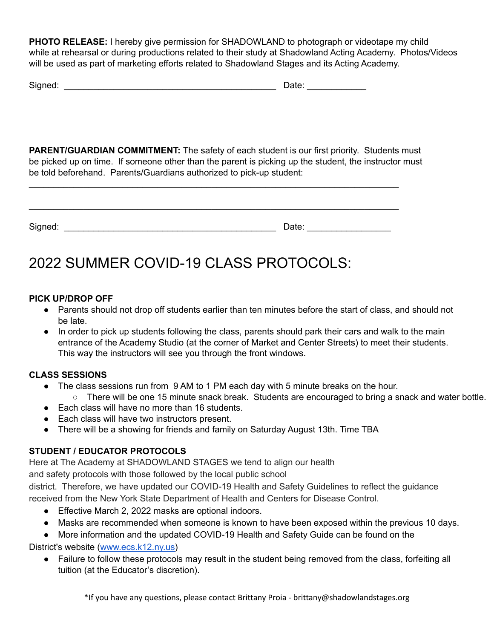**PHOTO RELEASE:** I hereby give permission for SHADOWLAND to photograph or videotape my child while at rehearsal or during productions related to their study at Shadowland Acting Academy. Photos/Videos will be used as part of marketing efforts related to Shadowland Stages and its Acting Academy.

| Signed: | $-1 -$<br>Dale. |
|---------|-----------------|
|---------|-----------------|

**PARENT/GUARDIAN COMMITMENT:** The safety of each student is our first priority. Students must be picked up on time. If someone other than the parent is picking up the student, the instructor must be told beforehand. Parents/Guardians authorized to pick-up student:

| Signed: | Date: |
|---------|-------|

\_\_\_\_\_\_\_\_\_\_\_\_\_\_\_\_\_\_\_\_\_\_\_\_\_\_\_\_\_\_\_\_\_\_\_\_\_\_\_\_\_\_\_\_\_\_\_\_\_\_\_\_\_\_\_\_\_\_\_\_\_\_\_\_\_\_\_\_\_\_\_\_\_\_\_

\_\_\_\_\_\_\_\_\_\_\_\_\_\_\_\_\_\_\_\_\_\_\_\_\_\_\_\_\_\_\_\_\_\_\_\_\_\_\_\_\_\_\_\_\_\_\_\_\_\_\_\_\_\_\_\_\_\_\_\_\_\_\_\_\_\_\_\_\_\_\_\_\_\_\_

# 2022 SUMMER COVID-19 CLASS PROTOCOLS:

### **PICK UP/DROP OFF**

- Parents should not drop off students earlier than ten minutes before the start of class, and should not be late.
- In order to pick up students following the class, parents should park their cars and walk to the main entrance of the Academy Studio (at the corner of Market and Center Streets) to meet their students. This way the instructors will see you through the front windows.

### **CLASS SESSIONS**

- The class sessions run from 9 AM to 1 PM each day with 5 minute breaks on the hour.
- There will be one 15 minute snack break. Students are encouraged to bring a snack and water bottle.
- Each class will have no more than 16 students.
- Each class will have two instructors present.
- There will be a showing for friends and family on Saturday August 13th. Time TBA

### **STUDENT / EDUCATOR PROTOCOLS**

Here at The Academy at SHADOWLAND STAGES we tend to align our health

and safety protocols with those followed by the local public school

district. Therefore, we have updated our COVID-19 Health and Safety Guidelines to reflect the guidance received from the New York State Department of Health and Centers for Disease Control.

- Effective March 2, 2022 masks are optional indoors.
- Masks are recommended when someone is known to have been exposed within the previous 10 days.

● More information and the updated COVID-19 Health and Safety Guide can be found on the

District's website [\(www.ecs.k12.ny.us\)](http://www.ecs.k12.ny.us/)

● Failure to follow these protocols may result in the student being removed from the class, forfeiting all tuition (at the Educator's discretion).